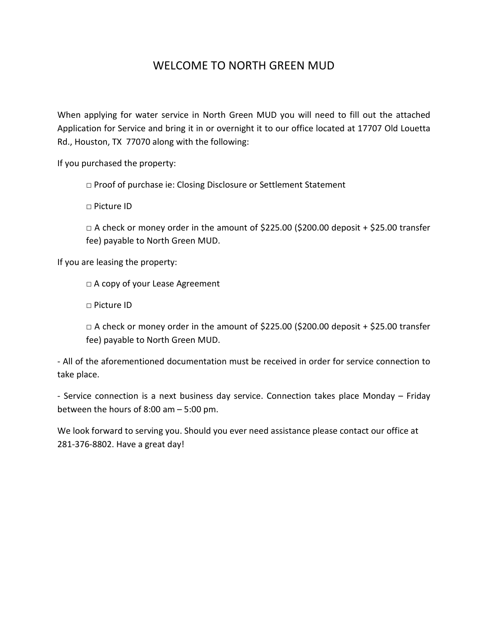## WELCOME TO NORTH GREEN MUD

When applying for water service in North Green MUD you will need to fill out the attached Application for Service and bring it in or overnight it to our office located at 17707 Old Louetta Rd., Houston, TX 77070 along with the following:

If you purchased the property:

□ Proof of purchase ie: Closing Disclosure or Settlement Statement

□ Picture ID

 $\Box$  A check or money order in the amount of \$225.00 (\$200.00 deposit + \$25.00 transfer fee) payable to North Green MUD.

If you are leasing the property:

□ A copy of your Lease Agreement

□ Picture ID

 $\Box$  A check or money order in the amount of \$225.00 (\$200.00 deposit + \$25.00 transfer fee) payable to North Green MUD.

- All of the aforementioned documentation must be received in order for service connection to take place.

- Service connection is a next business day service. Connection takes place Monday – Friday between the hours of 8:00 am – 5:00 pm.

We look forward to serving you. Should you ever need assistance please contact our office at 281-376-8802. Have a great day!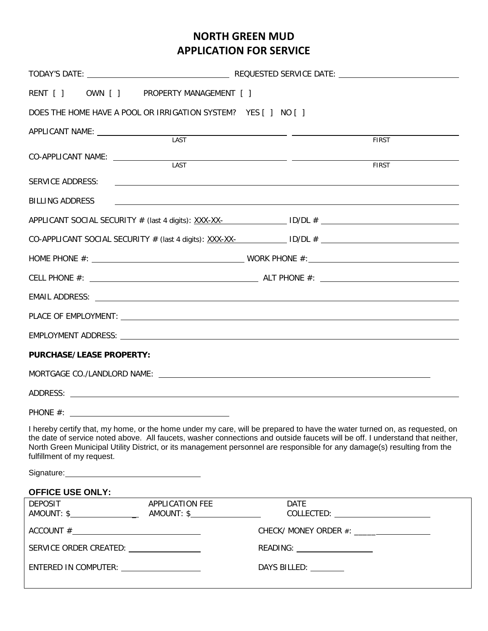## **NORTH GREEN MUD APPLICATION FOR SERVICE**

| RENT [ ] OWN [ ] PROPERTY MANAGEMENT [ ]                       |                 |                                                                                                                                                                                                                                                                                                                                                                                       |  |
|----------------------------------------------------------------|-----------------|---------------------------------------------------------------------------------------------------------------------------------------------------------------------------------------------------------------------------------------------------------------------------------------------------------------------------------------------------------------------------------------|--|
| DOES THE HOME HAVE A POOL OR IRRIGATION SYSTEM? YES [ ] NO [ ] |                 |                                                                                                                                                                                                                                                                                                                                                                                       |  |
|                                                                |                 |                                                                                                                                                                                                                                                                                                                                                                                       |  |
|                                                                | LAST            | <b>FIRST</b>                                                                                                                                                                                                                                                                                                                                                                          |  |
| CO-APPLICANT NAME: _______________                             | LAST            | <b>FIRST</b>                                                                                                                                                                                                                                                                                                                                                                          |  |
| SERVICE ADDRESS:                                               |                 | <u> 1989 - Andrea Stadt Britain, amerikansk politik (d. 1989)</u>                                                                                                                                                                                                                                                                                                                     |  |
| <b>BILLING ADDRESS</b>                                         |                 | <u>and the state of the state of the state of the state of the state of the state of the state of the state of th</u>                                                                                                                                                                                                                                                                 |  |
|                                                                |                 | APPLICANT SOCIAL SECURITY # (last 4 digits): $\frac{XXX-X}{Y}$ = $\frac{1}{Y}$ = $\frac{1}{Y}$ = $\frac{1}{Y}$ = $\frac{1}{Y}$ = $\frac{1}{Y}$ = $\frac{1}{Y}$ = $\frac{1}{Y}$ = $\frac{1}{Y}$ = $\frac{1}{Y}$ = $\frac{1}{Y}$ = $\frac{1}{Y}$ = $\frac{1}{Y}$ = $\frac{1}{Y}$ = $\frac{1}{Y$                                                                                         |  |
|                                                                |                 | CO-APPLICANT SOCIAL SECURITY # (last 4 digits): $\frac{XXX-XX-}{Y}$ ID/DL #                                                                                                                                                                                                                                                                                                           |  |
|                                                                |                 |                                                                                                                                                                                                                                                                                                                                                                                       |  |
|                                                                |                 |                                                                                                                                                                                                                                                                                                                                                                                       |  |
|                                                                |                 |                                                                                                                                                                                                                                                                                                                                                                                       |  |
|                                                                |                 |                                                                                                                                                                                                                                                                                                                                                                                       |  |
|                                                                |                 |                                                                                                                                                                                                                                                                                                                                                                                       |  |
| <b>PURCHASE/LEASE PROPERTY:</b>                                |                 |                                                                                                                                                                                                                                                                                                                                                                                       |  |
|                                                                |                 |                                                                                                                                                                                                                                                                                                                                                                                       |  |
|                                                                |                 |                                                                                                                                                                                                                                                                                                                                                                                       |  |
|                                                                |                 |                                                                                                                                                                                                                                                                                                                                                                                       |  |
| fulfillment of my request.                                     |                 | I hereby certify that, my home, or the home under my care, will be prepared to have the water turned on, as requested, on<br>the date of service noted above. All faucets, washer connections and outside faucets will be off. I understand that neither,<br>North Green Municipal Utility District, or its management personnel are responsible for any damage(s) resulting from the |  |
|                                                                |                 |                                                                                                                                                                                                                                                                                                                                                                                       |  |
| <b>OFFICE USE ONLY:</b><br><b>DEPOSIT</b>                      | APPLICATION FEE | <b>DATE</b>                                                                                                                                                                                                                                                                                                                                                                           |  |
|                                                                |                 |                                                                                                                                                                                                                                                                                                                                                                                       |  |
| $\text{ACCOUNT} \#$                                            |                 |                                                                                                                                                                                                                                                                                                                                                                                       |  |
|                                                                |                 | READING: Network and the set of the set of the set of the set of the set of the set of the set of the set of the set of the set of the set of the set of the set of the set of the set of the set of the set of the set of the                                                                                                                                                        |  |
| ENTERED IN COMPUTER: _____________________                     |                 | DAYS BILLED: ________                                                                                                                                                                                                                                                                                                                                                                 |  |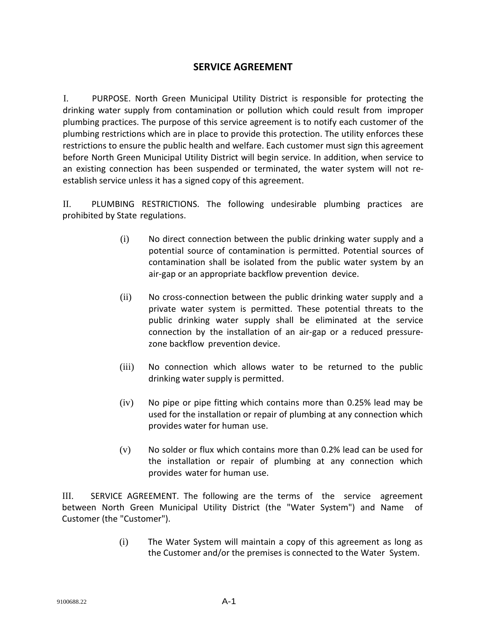## **SERVICE AGREEMENT**

I. PURPOSE. North Green Municipal Utility District is responsible for protecting the drinking water supply from contamination or pollution which could result from improper plumbing practices. The purpose of this service agreement is to notify each customer of the plumbing restrictions which are in place to provide this protection. The utility enforces these restrictions to ensure the public health and welfare. Each customer must sign this agreement before North Green Municipal Utility District will begin service. In addition, when service to an existing connection has been suspended or terminated, the water system will not reestablish service unless it has a signed copy of this agreement.

II. PLUMBING RESTRICTIONS. The following undesirable plumbing practices are prohibited by State regulations.

- (i) No direct connection between the public drinking water supply and a potential source of contamination is permitted. Potential sources of contamination shall be isolated from the public water system by an air-gap or an appropriate backflow prevention device.
- (ii) No cross-connection between the public drinking water supply and a private water system is permitted. These potential threats to the public drinking water supply shall be eliminated at the service connection by the installation of an air-gap or a reduced pressurezone backflow prevention device.
- (iii) No connection which allows water to be returned to the public drinking water supply is permitted.
- (iv) No pipe or pipe fitting which contains more than 0.25% lead may be used for the installation or repair of plumbing at any connection which provides water for human use.
- (v) No solder or flux which contains more than 0.2% lead can be used for the installation or repair of plumbing at any connection which provides water for human use.

III. SERVICE AGREEMENT. The following are the terms of the service agreement between North Green Municipal Utility District (the "Water System") and Name of Customer (the "Customer").

> (i) The Water System will maintain a copy of this agreement as long as the Customer and/or the premises is connected to the Water System.